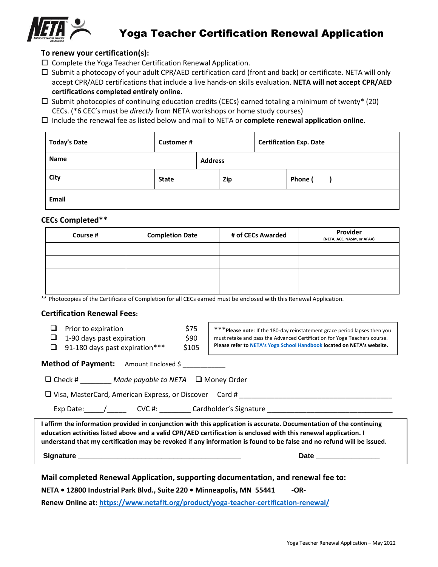

## Yoga Teacher Certification Renewal Application

### **To renew your certification(s):**

- $\square$  Complete the Yoga Teacher Certification Renewal Application.
- $\square$  Submit a photocopy of your adult CPR/AED certification card (front and back) or certificate. NETA will only accept CPR/AED certifications that include a live hands-on skills evaluation. **NETA will not accept CPR/AED certifications completed entirely online.**
- $\square$  Submit photocopies of continuing education credits (CECs) earned totaling a minimum of twenty\* (20) CECs. (\*6 CEC's must be *directly* from NETA workshops or home study courses)
- Include the renewal fee as listed below and mail to NETA or **complete renewal application online.**

| <b>Today's Date</b> | <b>Customer#</b> |                | <b>Certification Exp. Date</b> |  |         |  |
|---------------------|------------------|----------------|--------------------------------|--|---------|--|
| Name                |                  | <b>Address</b> |                                |  |         |  |
| <b>City</b>         | <b>State</b>     |                | Zip                            |  | Phone ( |  |
| Email               |                  |                |                                |  |         |  |

### **CECs Completed\*\***

| Course # | <b>Completion Date</b> | # of CECs Awarded | Provider<br>(NETA, ACE, NASM, or AFAA) |
|----------|------------------------|-------------------|----------------------------------------|
|          |                        |                   |                                        |
|          |                        |                   |                                        |
|          |                        |                   |                                        |
|          |                        |                   |                                        |

\*\* Photocopies of the Certificate of Completion for all CECs earned must be enclosed with this Renewal Application.

#### **Certification Renewal Fees:**

 $\Box$  Prior to expiration  $$75$  $\Box$  1-90 days past expiration  $$90$ 

 $\Box$  91-180 days past expiration\*\*\* \$105

\*\*\***Please note**: If the 180-day reinstatement grace period lapses then you must retake and pass the Advanced Certification for Yoga Teachers course. **Please refer to NETA's [Yoga School Handbook](https://www.netafit.org/wp-content/uploads/Yoga-School-Handbook-2022.pdf) located on NETA's website.**

| <b>Method of Payment:</b> | Amount Enclosed \$ |
|---------------------------|--------------------|
|---------------------------|--------------------|

| $\Box$ Check # | Made payable to NETA $\Box$ Money Order |  |
|----------------|-----------------------------------------|--|
|----------------|-----------------------------------------|--|

❑ Visa, MasterCard, American Express, or Discover Card # \_\_\_\_\_\_\_\_\_\_\_\_\_\_\_\_\_\_\_\_\_\_\_\_\_\_\_\_\_\_\_\_\_\_\_\_\_\_\_

Exp Date: \_\_\_\_\_/\_\_\_\_\_\_\_\_\_ CVC #: \_\_\_\_\_\_\_\_\_ Cardholder's Signature \_\_\_\_\_\_\_\_\_\_\_\_\_\_

**I affirm the information provided in conjunction with this application is accurate. Documentation of the continuing education activities listed above and a valid CPR/AED certification is enclosed with this renewal application. I understand that my certification may be revoked if any information is found to be false and no refund will be issued.** 

**Signature \_\_\_\_\_\_\_\_\_\_\_\_\_\_\_\_\_\_\_\_\_\_\_\_\_\_\_\_\_\_\_\_\_\_\_\_\_\_\_\_\_ Date \_\_\_\_\_\_\_\_\_\_\_\_\_\_\_\_**

**Mail completed Renewal Application, supporting documentation, and renewal fee to:**

**NETA • 12800 Industrial Park Blvd., Suite 220 • Minneapolis, MN 55441 - - OR-**

**Renew Online at: <https://www.netafit.org/product/yoga-teacher-certification-renewal/>**